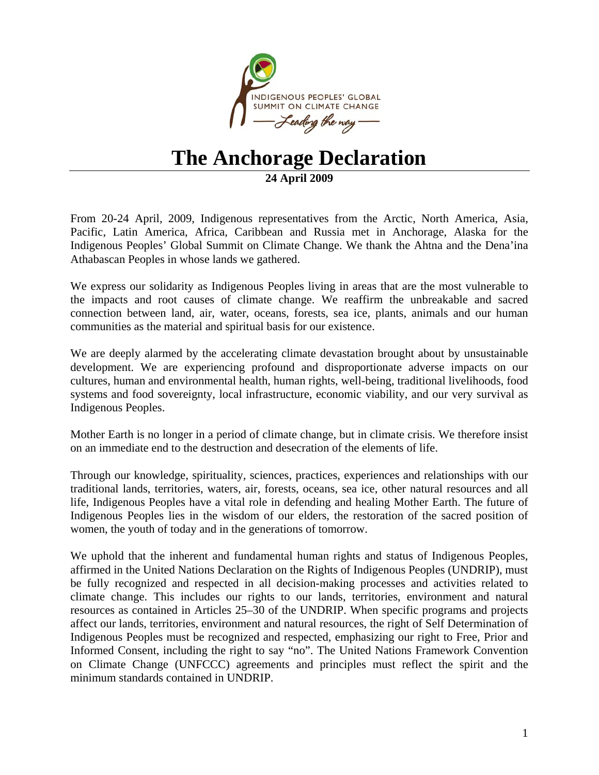

## **The Anchorage Declaration**

**24 April 2009** 

From 20-24 April, 2009, Indigenous representatives from the Arctic, North America, Asia, Pacific, Latin America, Africa, Caribbean and Russia met in Anchorage, Alaska for the Indigenous Peoples' Global Summit on Climate Change. We thank the Ahtna and the Dena'ina Athabascan Peoples in whose lands we gathered.

We express our solidarity as Indigenous Peoples living in areas that are the most vulnerable to the impacts and root causes of climate change. We reaffirm the unbreakable and sacred connection between land, air, water, oceans, forests, sea ice, plants, animals and our human communities as the material and spiritual basis for our existence.

We are deeply alarmed by the accelerating climate devastation brought about by unsustainable development. We are experiencing profound and disproportionate adverse impacts on our cultures, human and environmental health, human rights, well-being, traditional livelihoods, food systems and food sovereignty, local infrastructure, economic viability, and our very survival as Indigenous Peoples.

Mother Earth is no longer in a period of climate change, but in climate crisis. We therefore insist on an immediate end to the destruction and desecration of the elements of life.

Through our knowledge, spirituality, sciences, practices, experiences and relationships with our traditional lands, territories, waters, air, forests, oceans, sea ice, other natural resources and all life, Indigenous Peoples have a vital role in defending and healing Mother Earth. The future of Indigenous Peoples lies in the wisdom of our elders, the restoration of the sacred position of women, the youth of today and in the generations of tomorrow.

We uphold that the inherent and fundamental human rights and status of Indigenous Peoples, affirmed in the United Nations Declaration on the Rights of Indigenous Peoples (UNDRIP), must be fully recognized and respected in all decision-making processes and activities related to climate change. This includes our rights to our lands, territories, environment and natural resources as contained in Articles 25–30 of the UNDRIP. When specific programs and projects affect our lands, territories, environment and natural resources, the right of Self Determination of Indigenous Peoples must be recognized and respected, emphasizing our right to Free, Prior and Informed Consent, including the right to say "no". The United Nations Framework Convention on Climate Change (UNFCCC) agreements and principles must reflect the spirit and the minimum standards contained in UNDRIP.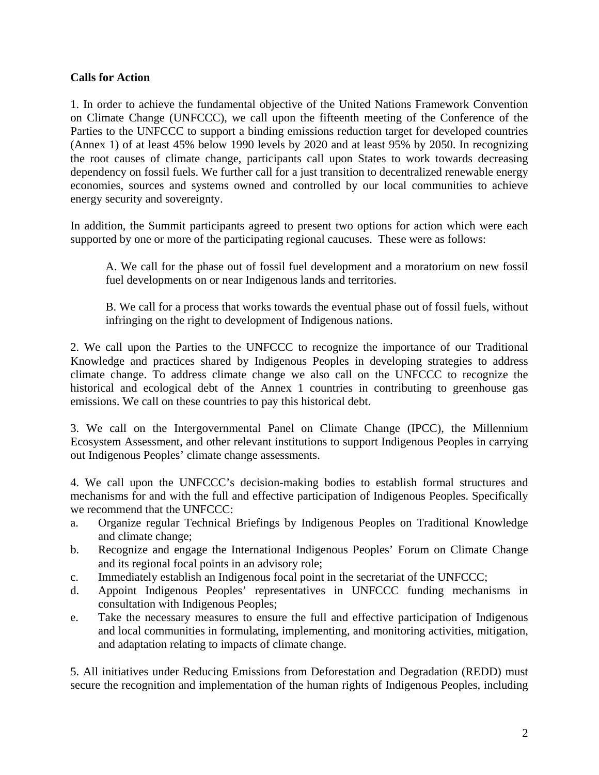## **Calls for Action**

1. In order to achieve the fundamental objective of the United Nations Framework Convention on Climate Change (UNFCCC), we call upon the fifteenth meeting of the Conference of the Parties to the UNFCCC to support a binding emissions reduction target for developed countries (Annex 1) of at least 45% below 1990 levels by 2020 and at least 95% by 2050. In recognizing the root causes of climate change, participants call upon States to work towards decreasing dependency on fossil fuels. We further call for a just transition to decentralized renewable energy economies, sources and systems owned and controlled by our local communities to achieve energy security and sovereignty.

In addition, the Summit participants agreed to present two options for action which were each supported by one or more of the participating regional caucuses. These were as follows:

A. We call for the phase out of fossil fuel development and a moratorium on new fossil fuel developments on or near Indigenous lands and territories.

B. We call for a process that works towards the eventual phase out of fossil fuels, without infringing on the right to development of Indigenous nations.

2. We call upon the Parties to the UNFCCC to recognize the importance of our Traditional Knowledge and practices shared by Indigenous Peoples in developing strategies to address climate change. To address climate change we also call on the UNFCCC to recognize the historical and ecological debt of the Annex 1 countries in contributing to greenhouse gas emissions. We call on these countries to pay this historical debt.

3. We call on the Intergovernmental Panel on Climate Change (IPCC), the Millennium Ecosystem Assessment, and other relevant institutions to support Indigenous Peoples in carrying out Indigenous Peoples' climate change assessments.

4. We call upon the UNFCCC's decision-making bodies to establish formal structures and mechanisms for and with the full and effective participation of Indigenous Peoples. Specifically we recommend that the UNFCCC:

- a. Organize regular Technical Briefings by Indigenous Peoples on Traditional Knowledge and climate change;
- b. Recognize and engage the International Indigenous Peoples' Forum on Climate Change and its regional focal points in an advisory role;
- c. Immediately establish an Indigenous focal point in the secretariat of the UNFCCC;
- d. Appoint Indigenous Peoples' representatives in UNFCCC funding mechanisms in consultation with Indigenous Peoples;
- e. Take the necessary measures to ensure the full and effective participation of Indigenous and local communities in formulating, implementing, and monitoring activities, mitigation, and adaptation relating to impacts of climate change.

5. All initiatives under Reducing Emissions from Deforestation and Degradation (REDD) must secure the recognition and implementation of the human rights of Indigenous Peoples, including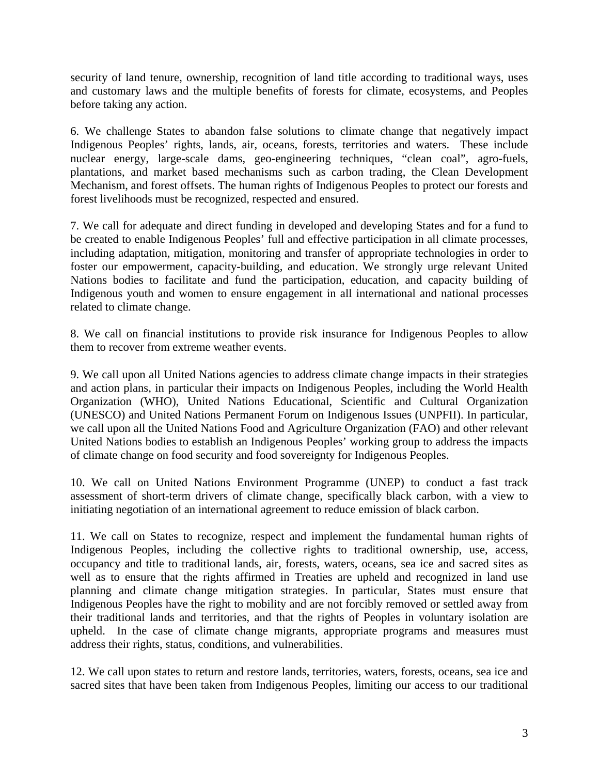security of land tenure, ownership, recognition of land title according to traditional ways, uses and customary laws and the multiple benefits of forests for climate, ecosystems, and Peoples before taking any action.

6. We challenge States to abandon false solutions to climate change that negatively impact Indigenous Peoples' rights, lands, air, oceans, forests, territories and waters. These include nuclear energy, large-scale dams, geo-engineering techniques, "clean coal", agro-fuels, plantations, and market based mechanisms such as carbon trading, the Clean Development Mechanism, and forest offsets. The human rights of Indigenous Peoples to protect our forests and forest livelihoods must be recognized, respected and ensured.

7. We call for adequate and direct funding in developed and developing States and for a fund to be created to enable Indigenous Peoples' full and effective participation in all climate processes, including adaptation, mitigation, monitoring and transfer of appropriate technologies in order to foster our empowerment, capacity-building, and education. We strongly urge relevant United Nations bodies to facilitate and fund the participation, education, and capacity building of Indigenous youth and women to ensure engagement in all international and national processes related to climate change.

8. We call on financial institutions to provide risk insurance for Indigenous Peoples to allow them to recover from extreme weather events.

9. We call upon all United Nations agencies to address climate change impacts in their strategies and action plans, in particular their impacts on Indigenous Peoples, including the World Health Organization (WHO), United Nations Educational, Scientific and Cultural Organization (UNESCO) and United Nations Permanent Forum on Indigenous Issues (UNPFII). In particular, we call upon all the United Nations Food and Agriculture Organization (FAO) and other relevant United Nations bodies to establish an Indigenous Peoples' working group to address the impacts of climate change on food security and food sovereignty for Indigenous Peoples.

10. We call on United Nations Environment Programme (UNEP) to conduct a fast track assessment of short-term drivers of climate change, specifically black carbon, with a view to initiating negotiation of an international agreement to reduce emission of black carbon.

11. We call on States to recognize, respect and implement the fundamental human rights of Indigenous Peoples, including the collective rights to traditional ownership, use, access, occupancy and title to traditional lands, air, forests, waters, oceans, sea ice and sacred sites as well as to ensure that the rights affirmed in Treaties are upheld and recognized in land use planning and climate change mitigation strategies. In particular, States must ensure that Indigenous Peoples have the right to mobility and are not forcibly removed or settled away from their traditional lands and territories, and that the rights of Peoples in voluntary isolation are upheld. In the case of climate change migrants, appropriate programs and measures must address their rights, status, conditions, and vulnerabilities.

12. We call upon states to return and restore lands, territories, waters, forests, oceans, sea ice and sacred sites that have been taken from Indigenous Peoples, limiting our access to our traditional